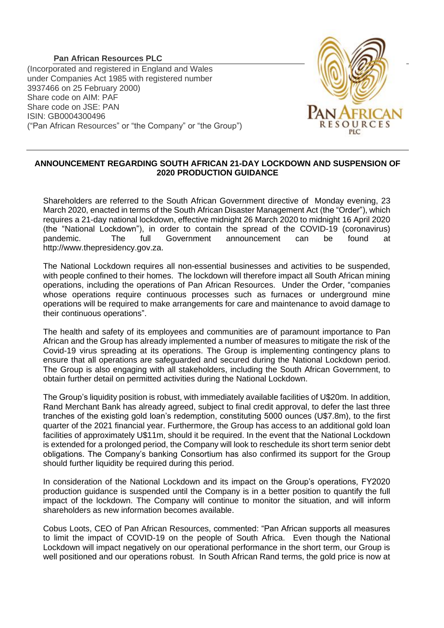## **Pan African Resources PLC**

(Incorporated and registered in England and Wales under Companies Act 1985 with registered number 3937466 on 25 February 2000) Share code on AIM: PAF Share code on JSE: PAN ISIN: GB0004300496 ("Pan African Resources" or "the Company" or "the Group")



## **ANNOUNCEMENT REGARDING SOUTH AFRICAN 21-DAY LOCKDOWN AND SUSPENSION OF 2020 PRODUCTION GUIDANCE**

Shareholders are referred to the South African Government directive of Monday evening, 23 March 2020, enacted in terms of the South African Disaster Management Act (the "Order"), which requires a 21-day national lockdown, effective midnight 26 March 2020 to midnight 16 April 2020 (the "National Lockdown"), in order to contain the spread of the COVID-19 (coronavirus) pandemic. The full Government announcement can be found at http://www.thepresidency.gov.za.

The National Lockdown requires all non-essential businesses and activities to be suspended, with people confined to their homes. The lockdown will therefore impact all South African mining operations, including the operations of Pan African Resources. Under the Order, "companies whose operations require continuous processes such as furnaces or underground mine operations will be required to make arrangements for care and maintenance to avoid damage to their continuous operations".

The health and safety of its employees and communities are of paramount importance to Pan African and the Group has already implemented a number of measures to mitigate the risk of the Covid-19 virus spreading at its operations. The Group is implementing contingency plans to ensure that all operations are safeguarded and secured during the National Lockdown period. The Group is also engaging with all stakeholders, including the South African Government, to obtain further detail on permitted activities during the National Lockdown.

The Group's liquidity position is robust, with immediately available facilities of U\$20m. In addition, Rand Merchant Bank has already agreed, subject to final credit approval, to defer the last three tranches of the existing gold loan's redemption, constituting 5000 ounces (U\$7.8m), to the first quarter of the 2021 financial year. Furthermore, the Group has access to an additional gold loan facilities of approximately U\$11m, should it be required. In the event that the National Lockdown is extended for a prolonged period, the Company will look to reschedule its short term senior debt obligations. The Company's banking Consortium has also confirmed its support for the Group should further liquidity be required during this period.

In consideration of the National Lockdown and its impact on the Group's operations, FY2020 production guidance is suspended until the Company is in a better position to quantify the full impact of the lockdown. The Company will continue to monitor the situation, and will inform shareholders as new information becomes available.

Cobus Loots, CEO of Pan African Resources, commented: "Pan African supports all measures to limit the impact of COVID-19 on the people of South Africa. Even though the National Lockdown will impact negatively on our operational performance in the short term, our Group is well positioned and our operations robust. In South African Rand terms, the gold price is now at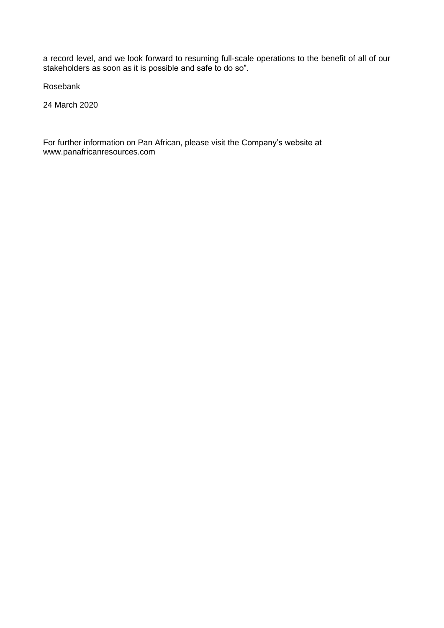a record level, and we look forward to resuming full-scale operations to the benefit of all of our stakeholders as soon as it is possible and safe to do so".

Rosebank

24 March 2020

For further information on Pan African, please visit the Company's website at www.panafricanresources.com